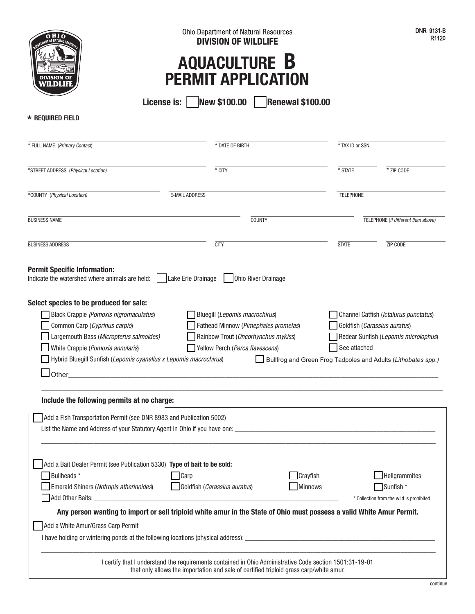| OHO<br>DEPARTMENT OF NATURAL RESOURCES |
|----------------------------------------|
|                                        |
|                                        |
| <b>DIVISION OF</b><br>WILDLIFE         |

## **AQUACULTURE B PERMIT APPLICATION**

**License is: New \$100.00 Renewal \$100.00**

**\* REQUIRED FIELD**

| * FULL NAME (Primary Contact)                                                                                                                                                                                                                               | * DATE OF BIRTH                                                                                                                                                                                                            | * TAX ID or SSN                                                                                               |                                                                                        |  |
|-------------------------------------------------------------------------------------------------------------------------------------------------------------------------------------------------------------------------------------------------------------|----------------------------------------------------------------------------------------------------------------------------------------------------------------------------------------------------------------------------|---------------------------------------------------------------------------------------------------------------|----------------------------------------------------------------------------------------|--|
| *STREET ADDRESS (Physical Location)                                                                                                                                                                                                                         | * CITY                                                                                                                                                                                                                     | * STATE                                                                                                       | * ZIP CODE                                                                             |  |
| *COUNTY (Physical Location)                                                                                                                                                                                                                                 | <b>E-MAIL ADDRESS</b>                                                                                                                                                                                                      | <b>TELEPHONE</b>                                                                                              |                                                                                        |  |
| <b>BUSINESS NAME</b><br><b>COUNTY</b>                                                                                                                                                                                                                       |                                                                                                                                                                                                                            |                                                                                                               | TELEPHONE (if different than above)                                                    |  |
| <b>BUSINESS ADDRESS</b>                                                                                                                                                                                                                                     | <b>CITY</b>                                                                                                                                                                                                                | <b>STATE</b>                                                                                                  | ZIP CODE                                                                               |  |
| <b>Permit Specific Information:</b><br>Indicate the watershed where animals are held:                                                                                                                                                                       | Lake Erie Drainage<br>Ohio River Drainage                                                                                                                                                                                  |                                                                                                               |                                                                                        |  |
| Black Crappie (Pomoxis nigromaculatus)<br>Common Carp (Cyprinus carpio)<br>Largemouth Bass (Micropterus salmoides)<br>White Crappie (Pomoxis annularis)<br>Hybrid Bluegill Sunfish (Lepomis cyanellus x Lepomis macrochirus)<br>$\mathsf{\mathsf{J}}$ Other | Bluegill (Lepomis macrochirus)<br>Fathead Minnow (Pimephales promelas)<br>Rainbow Trout (Oncorhynchus mykiss)<br>Yellow Perch (Perca flavescens)<br><u> 1980 - Jan Barbara, martin da kasar Amerikaan kasar Indonesia.</u> | Goldfish (Carassius auratus)<br>See attached<br>Bullfrog and Green Frog Tadpoles and Adults (Lithobates spp.) | Channel Catfish ( <i>Ictalurus punctatus</i> )<br>Redear Sunfish (Lepomis microlophus) |  |
| Include the following permits at no charge:                                                                                                                                                                                                                 |                                                                                                                                                                                                                            |                                                                                                               |                                                                                        |  |
| Add a Fish Transportation Permit (see DNR 8983 and Publication 5002)                                                                                                                                                                                        |                                                                                                                                                                                                                            |                                                                                                               |                                                                                        |  |
| Add a Bait Dealer Permit (see Publication 5330) Type of bait to be sold:<br>Bullheads *<br>Emerald Shiners (Notropis atherinoides)<br>Add a White Amur/Grass Carp Permit                                                                                    | Carp<br>Goldfish (Carassius auratus)<br>Any person wanting to import or sell triploid white amur in the State of Ohio must possess a valid White Amur Permit.                                                              | Crayfish<br><b>Minnows</b>                                                                                    | Hellgrammites<br>Sunfish *<br>* Collection from the wild is prohibited                 |  |
|                                                                                                                                                                                                                                                             | I certify that I understand the requirements contained in Ohio Administrative Code section 1501:31-19-01<br>that only allows the importation and sale of certified triploid grass carp/white amur.                         |                                                                                                               |                                                                                        |  |

continue

DNR 9131-B R1120